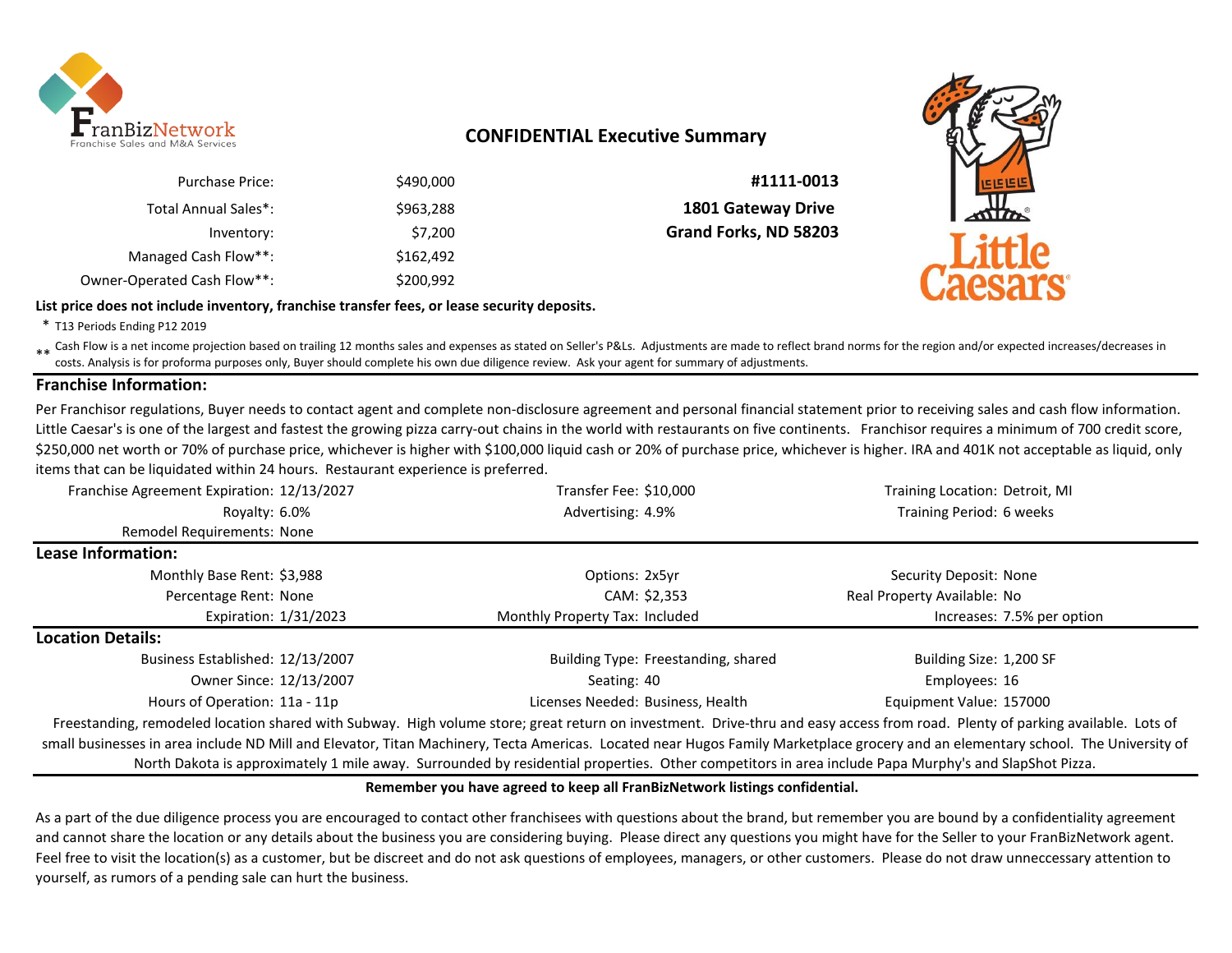

# **CONFIDENTIAL Executive Summary**

| #1111-0013                | \$490,000 | <b>Purchase Price:</b>      |
|---------------------------|-----------|-----------------------------|
| <b>1801 Gateway Drive</b> | \$963,288 | Total Annual Sales*:        |
| Grand Forks, ND 58203     | \$7,200   | Inventory:                  |
|                           | \$162,492 | Managed Cash Flow**:        |
|                           | \$200,992 | Owner-Operated Cash Flow**: |

#### **List price does not include inventory, franchise transfer fees, or lease security deposits.**



\* T13 Periods Ending P12 2019

\*\* Cash Flow is a net income projection based on trailing 12 months sales and expenses as stated on Seller's P&Ls. Adjustments are made to reflect brand norms for the region and/or expected increases/decreases in<br>Costs, An costs. Analysis is for proforma purposes only, Buyer should complete his own due diligence review. Ask your agent for summary of adjustments.

### **Franchise Information:**

Per Franchisor regulations, Buyer needs to contact agent and complete non-disclosure agreement and personal financial statement prior to receiving sales and cash flow information. Little Caesar's is one of the largest and fastest the growing pizza carry-out chains in the world with restaurants on five continents. Franchisor requires a minimum of 700 credit score, \$250,000 net worth or 70% of purchase price, whichever is higher with \$100,000 liquid cash or 20% of purchase price, whichever is higher. IRA and 401K not acceptable as liquid, only items that can be liquidated within 24 hours. Restaurant experience is preferred.

| Franchise Agreement Expiration: 12/13/2027 | Transfer Fee: \$10,000                                                                                                                                                       | Training Location: Detroit, MI |
|--------------------------------------------|------------------------------------------------------------------------------------------------------------------------------------------------------------------------------|--------------------------------|
| Royalty: 6.0%                              | Advertising: 4.9%                                                                                                                                                            | Training Period: 6 weeks       |
| Remodel Requirements: None                 |                                                                                                                                                                              |                                |
| Lease Information:                         |                                                                                                                                                                              |                                |
| Monthly Base Rent: \$3,988                 | Options: 2x5yr                                                                                                                                                               | Security Deposit: None         |
| Percentage Rent: None                      | CAM: \$2,353                                                                                                                                                                 | Real Property Available: No    |
| Expiration: 1/31/2023                      | Monthly Property Tax: Included                                                                                                                                               | Increases: 7.5% per option     |
| <b>Location Details:</b>                   |                                                                                                                                                                              |                                |
| Business Established: 12/13/2007           | Building Type: Freestanding, shared                                                                                                                                          | Building Size: 1,200 SF        |
| Owner Since: 12/13/2007                    | Seating: 40                                                                                                                                                                  | Employees: 16                  |
| Hours of Operation: 11a - 11p              | Licenses Needed: Business, Health                                                                                                                                            | Equipment Value: 157000        |
|                                            | Freestanding remodeled location shared with Subway High volume store; great return on investment. Drive-thru and easy access from road. Plenty of parking available. Lots of |                                |

deled location shared with Subway. High volume store; great return on investment. Drive-thru and easy access from road. Plenty of parking a small businesses in area include ND Mill and Elevator, Titan Machinery, Tecta Americas. Located near Hugos Family Marketplace grocery and an elementary school. The University of North Dakota is approximately 1 mile away. Surrounded by residential properties. Other competitors in area include Papa Murphy's and SlapShot Pizza.

#### **Remember you have agreed to keep all FranBizNetwork listings confidential.**

As a part of the due diligence process you are encouraged to contact other franchisees with questions about the brand, but remember you are bound by a confidentiality agreement and cannot share the location or any details about the business you are considering buying. Please direct any questions you might have for the Seller to your FranBizNetwork agent. Feel free to visit the location(s) as a customer, but be discreet and do not ask questions of employees, managers, or other customers. Please do not draw unneccessary attention to yourself, as rumors of a pending sale can hurt the business.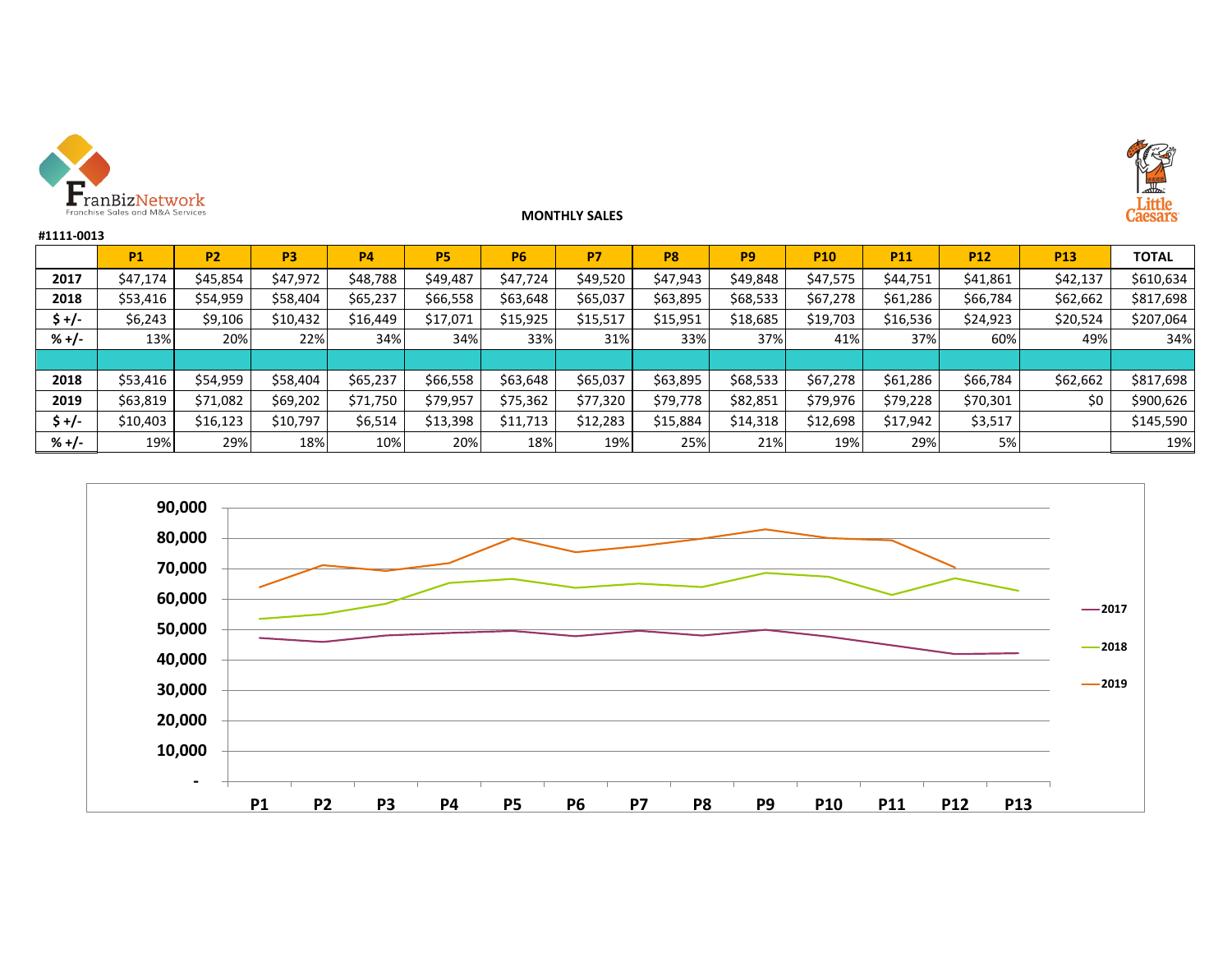

### **MONTHLY SALES**



| #1111-0013 |           |                |                |           |           |           |           |                |          |            |            |            |            |              |
|------------|-----------|----------------|----------------|-----------|-----------|-----------|-----------|----------------|----------|------------|------------|------------|------------|--------------|
|            | <b>P1</b> | P <sub>2</sub> | P <sub>3</sub> | <b>P4</b> | <b>P5</b> | <b>P6</b> | <b>P7</b> | P <sub>8</sub> | P9       | <b>P10</b> | <b>P11</b> | <b>P12</b> | <b>P13</b> | <b>TOTAL</b> |
| 2017       | \$47,174  | \$45,854       | \$47,972       | \$48,788  | \$49,487  | \$47,724  | \$49,520  | \$47,943       | \$49,848 | \$47,575   | \$44,751   | \$41,861   | \$42,137   | \$610,634    |
| 2018       | \$53,416  | \$54,959       | \$58,404       | \$65,237  | \$66,558  | \$63,648  | \$65,037  | \$63,895       | \$68,533 | \$67,278   | \$61,286   | \$66,784   | \$62,662   | \$817,698    |
| \$ +/-     | \$6,243   | \$9,106        | \$10,432       | \$16,449  | \$17,071  | \$15,925  | \$15,517  | \$15,951       | \$18,685 | \$19,703   | \$16,536   | \$24,923   | \$20,524   | \$207,064    |
| $% +/-$    | 13%       | 20%            | 22%            | 34%       | 34%       | 33%       | 31%       | 33%            | 37%      | 41%        | 37%        | 60%        | 49%        | 34%          |
|            |           |                |                |           |           |           |           |                |          |            |            |            |            |              |
| 2018       | \$53,416  | \$54,959       | \$58,404       | \$65,237  | \$66,558  | \$63,648  | \$65,037  | \$63,895       | \$68,533 | \$67,278   | \$61,286   | \$66,784   | \$62,662   | \$817,698    |
| 2019       | \$63,819  | \$71,082       | \$69,202       | \$71,750  | \$79,957  | \$75,362  | \$77,320  | \$79,778       | \$82,851 | \$79,976   | \$79,228   | \$70,301   | \$0        | \$900,626    |
| \$ +/-     | \$10,403  | \$16,123       | \$10,797       | \$6,514   | \$13,398  | \$11,713  | \$12,283  | \$15,884       | \$14,318 | \$12,698   | \$17,942   | \$3,517    |            | \$145,590    |
| $% +/-$    | 19%       | 29%            | 18%            | 10%       | 20%       | 18%       | 19%       | 25%            | 21%      | 19%        | 29%        | 5%         |            | 19%          |